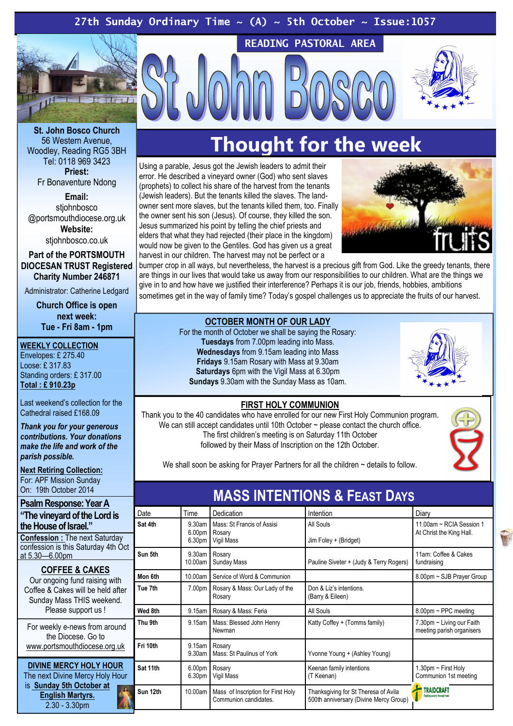# 27th Sunday Ordinary Time  $\sim$  (A)  $\sim$  5th October  $\sim$  Issue:1057



READING PASTORAL AREA

St. John Bosco Church 56 Western Avenue, Woodley, Reading RG5 3BH Tel: 0118 969 3423 Priest: Fr Bonaventure Ndong

> Email: stiohnbosco

@portsmouthdiocese.org.uk Website:

stiohnbosco.co.uk

Part of the PORTSMOUTH DIOCESAN TRUST Registered Charity Number 246871

Administrator: Catherine Ledgard

Church Office is open next week: Tue - Fri 8am - 1pm

#### WEEKLY COLLECTION

Envelopes: £ 275.40 Loose: £ 317.83 Standing orders: £ 317.00 Total : £ 910.23p

Last weekend's collection for the Cathedral raised £168.09

Thank you for your generous contributions. Your donations make the life and work of the parish possible.

Next Retiring Collection: For: APF Mission Sunday On: 19th October 2014

Psalm Response: Year A "The vineyard of the Lord is the House of Israel."

Confession : The next Saturday confession is this Saturday 4th Oct at 5.30—6.00pm

#### COFFEE & CAKES Our ongoing fund raising with

Coffee & Cakes will be held after Sunday Mass THIS weekend. Please support us !

For weekly e-news from around the Diocese. Go to www.portsmouthdiocese.org.uk

DIVINE MERCY HOLY HOUR The next Divine Mercy Holy Hour is Sunday 5th October at English Martyrs. 2.30 - 3.30pm

# Thought for the week

Using a parable, Jesus got the Jewish leaders to admit their error. He described a vineyard owner (God) who sent slaves (prophets) to collect his share of the harvest from the tenants (Jewish leaders). But the tenants killed the slaves. The landowner sent more slaves, but the tenants killed them, too. Finally the owner sent his son (Jesus). Of course, they killed the son. Jesus summarized his point by telling the chief priests and elders that what they had rejected (their place in the kingdom) would now be given to the Gentiles. God has given us a great harvest in our children. The harvest may not be perfect or a



bumper crop in all ways, but nevertheless, the harvest is a precious gift from God. Like the greedy tenants, there are things in our lives that would take us away from our responsibilities to our children. What are the things we give in to and how have we justified their interference? Perhaps it is our job, friends, hobbies, ambitions sometimes get in the way of family time? Today's gospel challenges us to appreciate the fruits of our harvest.

#### OCTOBER MONTH OF OUR LADY

For the month of October we shall be saying the Rosary: Tuesdays from 7.00pm leading into Mass. Wednesdays from 9.15am leading into Mass Fridays 9.15am Rosary with Mass at 9.30am Saturdays 6pm with the Vigil Mass at 6.30pm Sundays 9.30am with the Sunday Mass as 10am.



### FIRST HOLY COMMUNION

Thank you to the 40 candidates who have enrolled for our new First Holy Communion program. We can still accept candidates until 10th October ~ please contact the church office. The first children's meeting is on Saturday 11th October followed by their Mass of Inscription on the 12th October.

We shall soon be asking for Prayer Partners for all the children ~ details to follow.

| <b>MASS INTENTIONS &amp; FEAST DAYS</b> |                                                    |                                                             |                                                                                |                                                        |
|-----------------------------------------|----------------------------------------------------|-------------------------------------------------------------|--------------------------------------------------------------------------------|--------------------------------------------------------|
| Date                                    | Time                                               | Dedication                                                  | Intention                                                                      | Diary                                                  |
| Sat 4th                                 | 9.30am<br>6.00 <sub>pm</sub><br>6.30 <sub>pm</sub> | Mass: St Francis of Assisi<br>Rosary<br>Vigil Mass          | All Souls<br>Jim Foley + (Bridget)                                             | 11.00am ~ RCIA Session 1<br>At Christ the King Hall.   |
| Sun 5th                                 | $9.30$ am<br>10.00am                               | Rosary<br><b>Sunday Mass</b>                                | Pauline Siveter + (Judy & Terry Rogers)                                        | 11am: Coffee & Cakes<br>fundraising                    |
| Mon 6th                                 | 10.00am                                            | Service of Word & Communion                                 |                                                                                | 8.00pm ~ SJB Prayer Group                              |
| Tue 7th                                 | 7.00pm                                             | Rosary & Mass: Our Lady of the<br>Rosary                    | Don & Liz's intentions.<br>(Barry & Eileen)                                    |                                                        |
| Wed 8th                                 | $9.15$ am                                          | Rosary & Mass: Feria                                        | All Souls                                                                      | $8.00 \text{pm} \sim \text{PPC meeting}$               |
| Thu 9th                                 | 9.15am                                             | Mass: Blessed John Henry<br>Newman                          | Katty Coffey + (Tomms family)                                                  | 7.30pm ~ Living our Faith<br>meeting parish organisers |
| Fri 10th                                | 9.15am<br>9.30am                                   | Rosary<br>Mass: St Paulinus of York                         | Yvonne Young + (Ashley Young)                                                  |                                                        |
| Sat 11th                                | 6.00 <sub>pm</sub><br>6.30 <sub>pm</sub>           | Rosary<br>Vigil Mass                                        | Keenan family intentions<br>(T Keenan)                                         | 1.30pm ~ First Holy<br>Communion 1st meeting           |
| Sun 12th                                | 10.00am                                            | Mass of Inscription for First Holy<br>Communion candidates. | Thanksgiving for St Theresa of Avila<br>500th anniversary (Divine Mercy Group) | <b>TRAIDCRAFT</b><br>Fighting poverty through trade    |